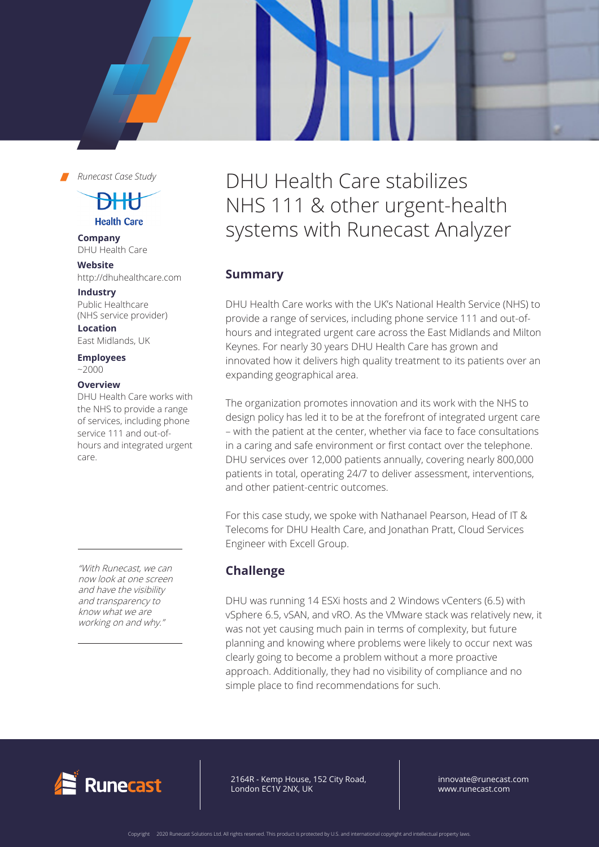*Runecast Case Study*

<del>DHK</del>

**Health Care** 

**Company** DHU Health Care

**Website** http://dhuhealthcare.com

**Industry**

Public Healthcare (NHS service provider)

**Location** East Midlands, UK

**Employees**   $~1$   $~2000$ 

#### **Overview**

DHU Health Care works with the NHS to provide a range of services, including phone service 111 and out-ofhours and integrated urgent care.

"With Runecast, we can now look at one screen and have the visibility and transparency to know what we are working on and why."

# DHU Health Care stabilizes NHS 111 & other urgent-health systems with Runecast Analyzer

# **Summary**

DHU Health Care works with the UK's National Health Service (NHS) to provide a range of services, including phone service 111 and out-ofhours and integrated urgent care across the East Midlands and Milton Keynes. For nearly 30 years DHU Health Care has grown and innovated how it delivers high quality treatment to its patients over an expanding geographical area.

The organization promotes innovation and its work with the NHS to design policy has led it to be at the forefront of integrated urgent care – with the patient at the center, whether via face to face consultations in a caring and safe environment or first contact over the telephone. DHU services over 12,000 patients annually, covering nearly 800,000 patients in total, operating 24/7 to deliver assessment, interventions, and other patient-centric outcomes.

For this case study, we spoke with Nathanael Pearson, Head of IT & Telecoms for DHU Health Care, and Jonathan Pratt, Cloud Services Engineer with Excell Group.

# **Challenge**

DHU was running 14 ESXi hosts and 2 Windows vCenters (6.5) with vSphere 6.5, vSAN, and vRO. As the VMware stack was relatively new, it was not yet causing much pain in terms of complexity, but future planning and knowing where problems were likely to occur next was clearly going to become a problem without a more proactive approach. Additionally, they had no visibility of compliance and no simple place to find recommendations for such.



64R - Kemp House, 152 City Road, ndon EC1V 2NX, UK 2164R - Kemp House, 152 City Road, London EC1V 2NX, UK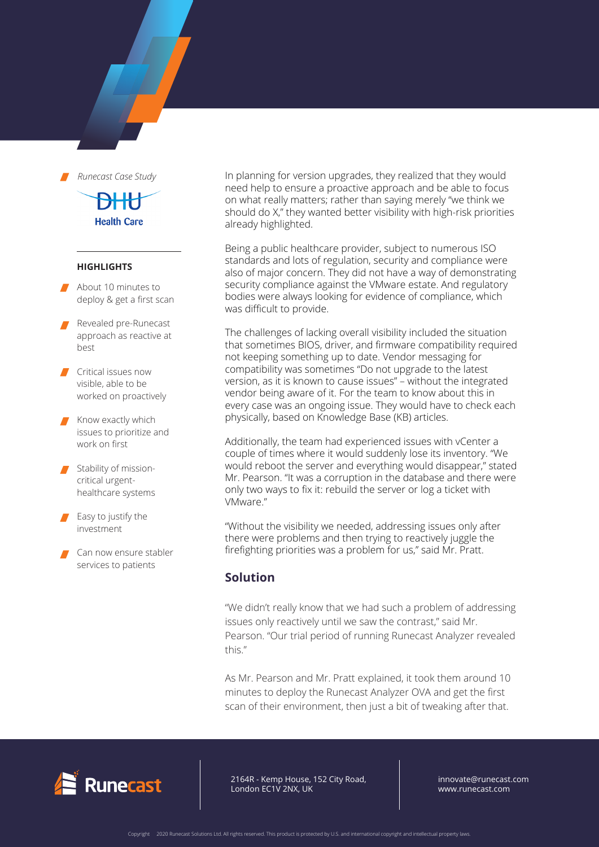

## **Health Care**

#### **HIGHLIGHTS**

- About 10 minutes to deploy & get a first scan
- Revealed pre-Runecast approach as reactive at best
- **Critical issues now** visible, able to be worked on proactively
- Know exactly which issues to prioritize and work on first
- Stability of missioncritical urgenthealthcare systems
- Easy to justify the investment
- Can now ensure stabler services to patients

In planning for version upgrades, they realized that they would need help to ensure a proactive approach and be able to focus on what really matters; rather than saying merely "we think we should do X," they wanted better visibility with high-risk priorities already highlighted.

Being a public healthcare provider, subject to numerous ISO standards and lots of regulation, security and compliance were also of major concern. They did not have a way of demonstrating security compliance against the VMware estate. And regulatory bodies were always looking for evidence of compliance, which was difficult to provide.

The challenges of lacking overall visibility included the situation that sometimes BIOS, driver, and firmware compatibility required not keeping something up to date. Vendor messaging for compatibility was sometimes "Do not upgrade to the latest version, as it is known to cause issues" – without the integrated vendor being aware of it. For the team to know about this in every case was an ongoing issue. They would have to check each physically, based on Knowledge Base (KB) articles.

Additionally, the team had experienced issues with vCenter a couple of times where it would suddenly lose its inventory. "We would reboot the server and everything would disappear," stated Mr. Pearson. "It was a corruption in the database and there were only two ways to fix it: rebuild the server or log a ticket with VMware."

"Without the visibility we needed, addressing issues only after there were problems and then trying to reactively juggle the firefighting priorities was a problem for us," said Mr. Pratt.

#### **Solution**

"We didn't really know that we had such a problem of addressing issues only reactively until we saw the contrast," said Mr. Pearson. "Our trial period of running Runecast Analyzer revealed this."

As Mr. Pearson and Mr. Pratt explained, it took them around 10 minutes to deploy the Runecast Analyzer OVA and get the first scan of their environment, then just a bit of tweaking after that.



2164R - Kemp House, 152 City Road, London EC1V 2NX, UK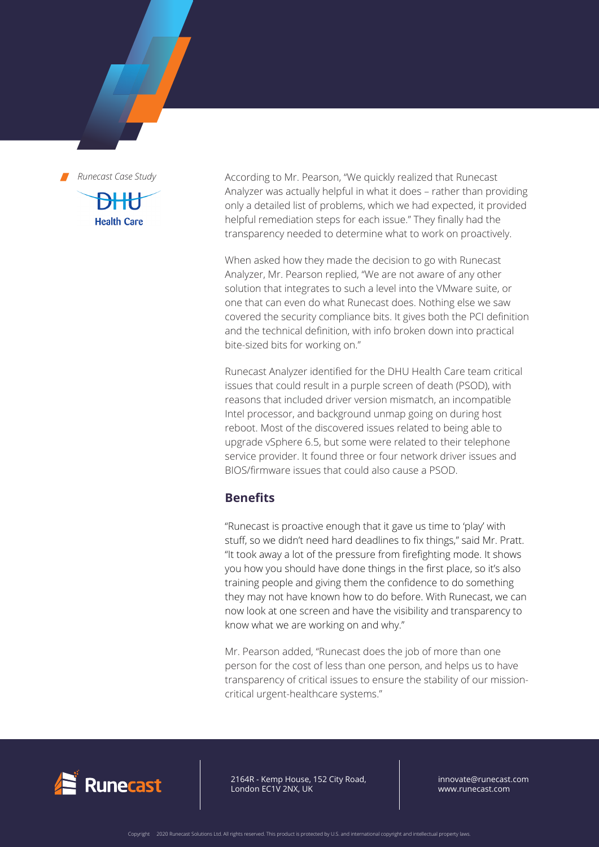*Runecast Case Study* **Health Care** 

According to Mr. Pearson, "We quickly realized that Runecast Analyzer was actually helpful in what it does – rather than providing only a detailed list of problems, which we had expected, it provided helpful remediation steps for each issue." They finally had the transparency needed to determine what to work on proactively.

When asked how they made the decision to go with Runecast Analyzer, Mr. Pearson replied, "We are not aware of any other solution that integrates to such a level into the VMware suite, or one that can even do what Runecast does. Nothing else we saw covered the security compliance bits. It gives both the PCI definition and the technical definition, with info broken down into practical bite-sized bits for working on."

Runecast Analyzer identified for the DHU Health Care team critical issues that could result in a purple screen of death (PSOD), with reasons that included driver version mismatch, an incompatible Intel processor, and background unmap going on during host reboot. Most of the discovered issues related to being able to upgrade vSphere 6.5, but some were related to their telephone service provider. It found three or four network driver issues and BIOS/firmware issues that could also cause a PSOD.

### **Benefits**

"Runecast is proactive enough that it gave us time to 'play' with stuff, so we didn't need hard deadlines to fix things," said Mr. Pratt. "It took away a lot of the pressure from firefighting mode. It shows you how you should have done things in the first place, so it's also training people and giving them the confidence to do something they may not have known how to do before. With Runecast, we can now look at one screen and have the visibility and transparency to know what we are working on and why."

Mr. Pearson added, "Runecast does the job of more than one person for the cost of less than one person, and helps us to have transparency of critical issues to ensure the stability of our missioncritical urgent-healthcare systems."



2164R - Kemp House, 152 City Road, London EC1V 2NX, UK